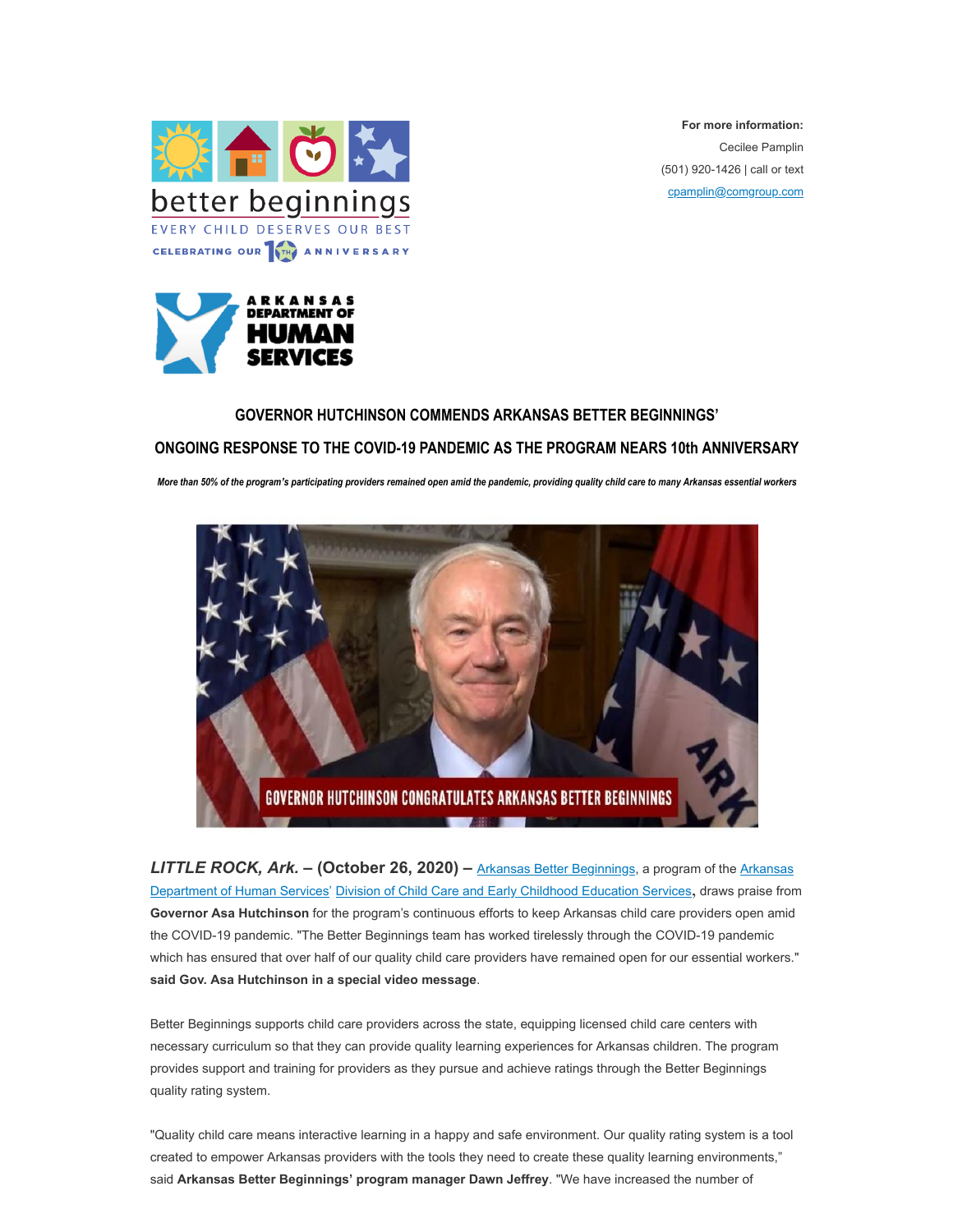

**For more information:** Cecilee Pamplin (501) 920-1426 | call or text [cpamplin@comgroup.com](mailto:cpamplin@comgroup.com)



## **GOVERNOR HUTCHINSON COMMENDS ARKANSAS BETTER BEGINNINGS'**

## **ONGOING RESPONSE TO THE COVID-19 PANDEMIC AS THE PROGRAM NEARS 10th ANNIVERSARY**

*More than 50% of the program's participating providers remained open amid the pandemic, providing quality child care to many Arkansas essential workers*



LITTLE ROCK, Ark. - (October 26, 2020) - [Arkansas Better Beginnings](https://arbetterbeginnings.com/), a program of the [Arkansas](https://humanservices.arkansas.gov/) [Department of Human Services](https://humanservices.arkansas.gov/)' [Division of Child Care and Early Childhood Education Services](https://humanservices.arkansas.gov/about-dhs/dccece), draws praise from **Governor Asa Hutchinson** for the program's continuous efforts to keep Arkansas child care providers open amid the COVID-19 pandemic. "The Better Beginnings team has worked tirelessly through the COVID-19 pandemic which has ensured that over half of our quality child care providers have remained open for our essential workers." **said Gov. Asa Hutchinson in a special video message**.

Better Beginnings supports child care providers across the state, equipping licensed child care centers with necessary curriculum so that they can provide quality learning experiences for Arkansas children. The program provides support and training for providers as they pursue and achieve ratings through the Better Beginnings quality rating system.

"Quality child care means interactive learning in a happy and safe environment. Our quality rating system is a tool created to empower Arkansas providers with the tools they need to create these quality learning environments," said **Arkansas Better Beginnings' program manager Dawn Jeffrey**. "We have increased the number of